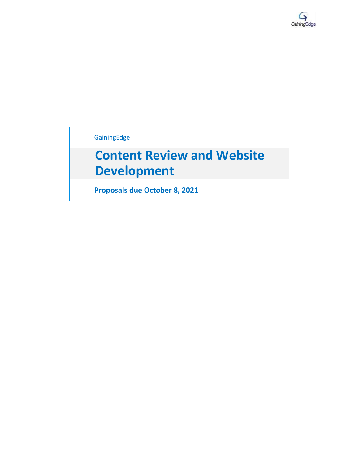

GainingEdge

# **Content Review and Website Development**

**Proposals due October 8, 2021**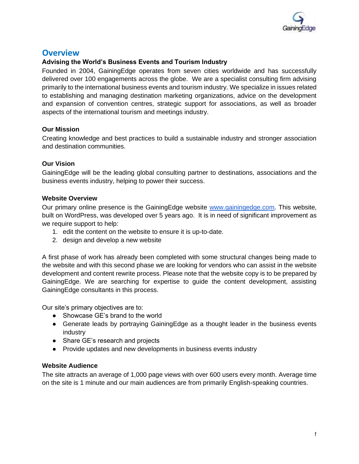

### **Overview**

### **Advising the World's Business Events and Tourism Industry**

Founded in 2004, GainingEdge operates from seven cities worldwide and has successfully delivered over 100 engagements across the globe. We are a specialist consulting firm advising primarily to the international business events and tourism industry. We specialize in issues related to establishing and managing destination marketing organizations, advice on the development and expansion of convention centres, strategic support for associations, as well as broader aspects of the international tourism and meetings industry.

### **Our Mission**

Creating knowledge and best practices to build a sustainable industry and stronger association and destination communities.

### **Our Vision**

GainingEdge will be the leading global consulting partner to destinations, associations and the business events industry, helping to power their success.

### **Website Overview**

Our primary online presence is the GainingEdge website [www.gainingedge.com.](http://www.gainingedge.com/) This website, built on WordPress, was developed over 5 years ago. It is in need of significant improvement as we require support to help:

- 1. edit the content on the website to ensure it is up-to-date.
- 2. design and develop a new website

A first phase of work has already been completed with some structural changes being made to the website and with this second phase we are looking for vendors who can assist in the website development and content rewrite process. Please note that the website copy is to be prepared by GainingEdge. We are searching for expertise to guide the content development, assisting GainingEdge consultants in this process.

Our site's primary objectives are to:

- Showcase GE's brand to the world
- Generate leads by portraying GainingEdge as a thought leader in the business events industry
- Share GE's research and projects
- Provide updates and new developments in business events industry

#### **Website Audience**

The site attracts an average of 1,000 page views with over 600 users every month. Average time on the site is 1 minute and our main audiences are from primarily English-speaking countries.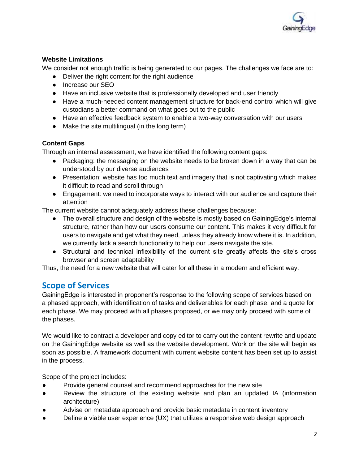

### **Website Limitations**

We consider not enough traffic is being generated to our pages. The challenges we face are to:

- Deliver the right content for the right audience
- Increase our SEO
- Have an inclusive website that is professionally developed and user friendly
- Have a much-needed content management structure for back-end control which will give custodians a better command on what goes out to the public
- Have an effective feedback system to enable a two-way conversation with our users
- Make the site multilingual (in the long term)

### **Content Gaps**

Through an internal assessment, we have identified the following content gaps:

- Packaging: the messaging on the website needs to be broken down in a way that can be understood by our diverse audiences
- Presentation: website has too much text and imagery that is not captivating which makes it difficult to read and scroll through
- Engagement: we need to incorporate ways to interact with our audience and capture their attention

The current website cannot adequately address these challenges because:

- The overall structure and design of the website is mostly based on GainingEdge's internal structure, rather than how our users consume our content. This makes it very difficult for users to navigate and get what they need, unless they already know where it is. In addition, we currently lack a search functionality to help our users navigate the site.
- Structural and technical inflexibility of the current site greatly affects the site's cross browser and screen adaptability

Thus, the need for a new website that will cater for all these in a modern and efficient way.

# **Scope of Services**

GainingEdge is interested in proponent's response to the following scope of services based on a phased approach, with identification of tasks and deliverables for each phase, and a quote for each phase. We may proceed with all phases proposed, or we may only proceed with some of the phases.

We would like to contract a developer and copy editor to carry out the content rewrite and update on the GainingEdge website as well as the website development. Work on the site will begin as soon as possible. A framework document with current website content has been set up to assist in the process.

Scope of the project includes:

- Provide general counsel and recommend approaches for the new site
- Review the structure of the existing website and plan an updated IA (information architecture)
- Advise on metadata approach and provide basic metadata in content inventory
- Define a viable user experience (UX) that utilizes a responsive web design approach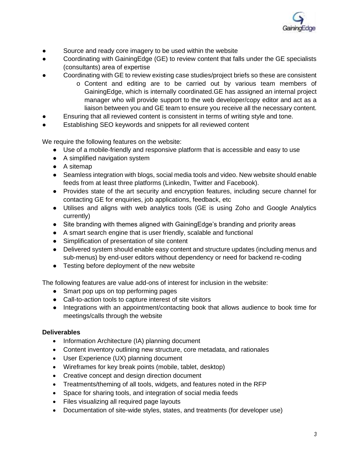

- Source and ready core imagery to be used within the website
- Coordinating with GainingEdge (GE) to review content that falls under the GE specialists (consultants) area of expertise
- Coordinating with GE to review existing case studies/project briefs so these are consistent
	- o Content and editing are to be carried out by various team members of GainingEdge, which is internally coordinated.GE has assigned an internal project manager who will provide support to the web developer/copy editor and act as a liaison between you and GE team to ensure you receive all the necessary content.
- Ensuring that all reviewed content is consistent in terms of writing style and tone.
- Establishing SEO keywords and snippets for all reviewed content

We require the following features on the website:

- Use of a mobile-friendly and responsive platform that is accessible and easy to use
- A simplified navigation system
- A sitemap
- Seamless integration with blogs, social media tools and video. New website should enable feeds from at least three platforms (LinkedIn, Twitter and Facebook).
- Provides state of the art security and encryption features, including secure channel for contacting GE for enquiries, job applications, feedback, etc
- Utilises and aligns with web analytics tools (GE is using Zoho and Google Analytics currently)
- Site branding with themes aligned with GainingEdge's branding and priority areas
- A smart search engine that is user friendly, scalable and functional
- Simplification of presentation of site content
- Delivered system should enable easy content and structure updates (including menus and sub-menus) by end-user editors without dependency or need for backend re-coding
- Testing before deployment of the new website

The following features are value add-ons of interest for inclusion in the website:

- Smart pop ups on top performing pages
- Call-to-action tools to capture interest of site visitors
- Integrations with an appointment/contacting book that allows audience to book time for meetings/calls through the website

#### **Deliverables**

- Information Architecture (IA) planning document
- Content inventory outlining new structure, core metadata, and rationales
- User Experience (UX) planning document
- Wireframes for key break points (mobile, tablet, desktop)
- Creative concept and design direction document
- Treatments/theming of all tools, widgets, and features noted in the RFP
- Space for sharing tools, and integration of social media feeds
- Files visualizing all required page layouts
- Documentation of site-wide styles, states, and treatments (for developer use)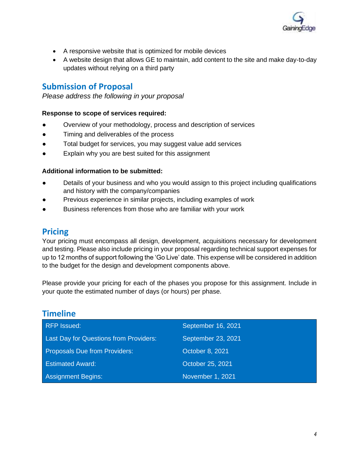

- A responsive website that is optimized for mobile devices
- A website design that allows GE to maintain, add content to the site and make day-to-day updates without relying on a third party

## **Submission of Proposal**

*Please address the following in your proposal*

### **Response to scope of services required:**

- Overview of your methodology, process and description of services
- Timing and deliverables of the process
- Total budget for services, you may suggest value add services
- Explain why you are best suited for this assignment

### **Additional information to be submitted:**

- Details of your business and who you would assign to this project including qualifications and history with the company/companies
- Previous experience in similar projects, including examples of work
- Business references from those who are familiar with your work

### **Pricing**

Your pricing must encompass all design, development, acquisitions necessary for development and testing. Please also include pricing in your proposal regarding technical support expenses for up to 12 months of support following the 'Go Live' date. This expense will be considered in addition to the budget for the design and development components above.

Please provide your pricing for each of the phases you propose for this assignment. Include in your quote the estimated number of days (or hours) per phase.

# **Timeline**

| <b>RFP Issued:</b>                     | September 16, 2021 |
|----------------------------------------|--------------------|
| Last Day for Questions from Providers: | September 23, 2021 |
| <b>Proposals Due from Providers:</b>   | October 8, 2021    |
| <b>Estimated Award:</b>                | October 25, 2021   |
| <b>Assignment Begins:</b>              | November 1, 2021   |